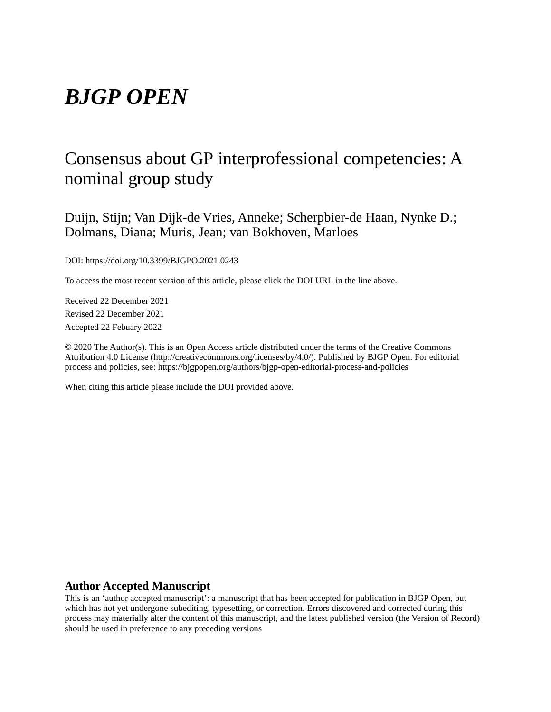# *BJGP OPEN*

# Consensus about GP interprofessional competencies: A nominal group study

Duijn, Stijn; Van Dijk-de Vries, Anneke; Scherpbier-de Haan, Nynke D.; Dolmans, Diana; Muris, Jean; van Bokhoven, Marloes

DOI: https://doi.org/10.3399/BJGPO.2021.0243

To access the most recent version of this article, please click the DOI URL in the line above.

Received 22 December 2021 Revised 22 December 2021 Accepted 22 Febuary 2022

© 2020 The Author(s). This is an Open Access article distributed under the terms of the Creative Commons Attribution 4.0 License (http://creativecommons.org/licenses/by/4.0/). Published by BJGP Open. For editorial process and policies, see: https://bjgpopen.org/authors/bjgp-open-editorial-process-and-policies

When citing this article please include the DOI provided above.

## **Author Accepted Manuscript**

This is an 'author accepted manuscript': a manuscript that has been accepted for publication in BJGP Open, but which has not yet undergone subediting, typesetting, or correction. Errors discovered and corrected during this process may materially alter the content of this manuscript, and the latest published version (the Version of Record) should be used in preference to any preceding versions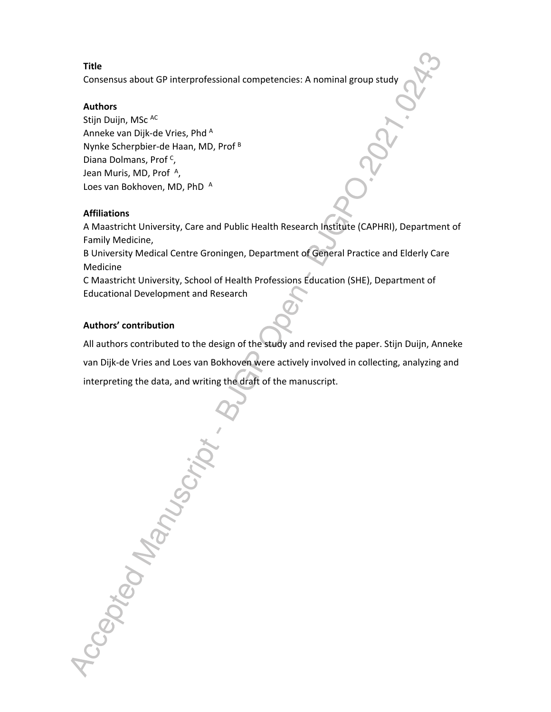## **Title**

Consensus about GP interprofessional competencies: A nominal group study

## **Authors**

Stijn Duijn, MSc AC Anneke van Dijk-de Vries, Phd <sup>A</sup> Nynke Scherpbier-de Haan, MD, Prof <sup>B</sup> Diana Dolmans, Prof <sup>c</sup>, Jean Muris, MD, Prof<sup>A</sup>, Loes van Bokhoven, MD, PhD A

## **Affiliations**

A Maastricht University, Care and Public Health Research Institute (CAPHRI), Department of Family Medicine,

B University Medical Centre Groningen, Department of General Practice and Elderly Care Medicine

C Maastricht University, School of Health Professions Education (SHE), Department of Educational Development and Research

# **Authors' contribution**

All authors contributed to the design of the study and revised the paper. Stijn Duijn, Anneke van Dijk-de Vries and Loes van Bokhoven were actively involved in collecting, analyzing and interpreting the data, and writing the draft of the manuscript.

Accepted Manus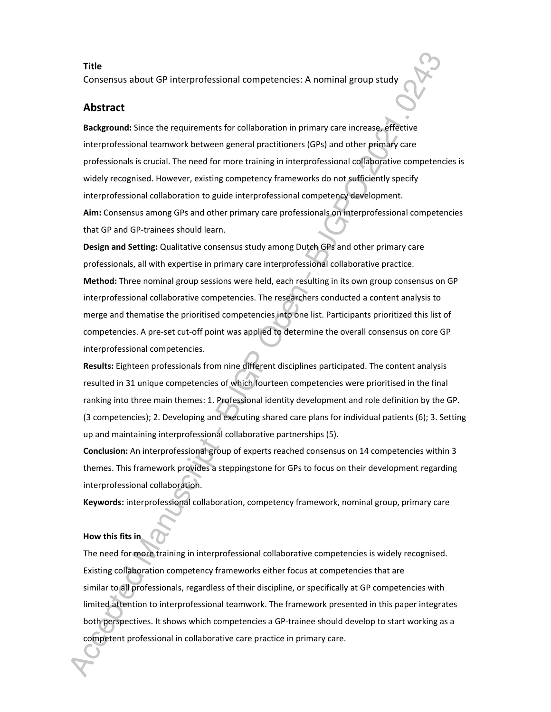### **Title**

Consensus about GP interprofessional competencies: A nominal group study

## **Abstract**

**Background:** Since the requirements for collaboration in primary care increase, effective interprofessional teamwork between general practitioners (GPs) and other primary care professionals is crucial. The need for more training in interprofessional collaborative competencies is widely recognised. However, existing competency frameworks do not sufficiently specify interprofessional collaboration to guide interprofessional competency development. **Aim:** Consensus among GPs and other primary care professionals on interprofessional competencies that GP and GP-trainees should learn.

**Design and Setting:** Qualitative consensus study among Dutch GPs and other primary care professionals, all with expertise in primary care interprofessional collaborative practice. **Method:** Three nominal group sessions were held, each resulting in its own group consensus on GP interprofessional collaborative competencies. The researchers conducted a content analysis to merge and thematise the prioritised competencies into one list. Participants prioritized this list of competencies. A pre-set cut-off point was applied to determine the overall consensus on core GP interprofessional competencies.

**Results:** Eighteen professionals from nine different disciplines participated. The content analysis resulted in 31 unique competencies of which fourteen competencies were prioritised in the final ranking into three main themes: 1. Professional identity development and role definition by the GP. (3 competencies); 2. Developing and executing shared care plans for individual patients (6); 3. Setting up and maintaining interprofessional collaborative partnerships (5).

**Conclusion:** An interprofessional group of experts reached consensus on 14 competencies within 3 themes. This framework provides a steppingstone for GPs to focus on their development regarding interprofessional collaboration.

**Keywords:** interprofessional collaboration, competency framework, nominal group, primary care

## **How this fits in**

The need for more training in interprofessional collaborative competencies is widely recognised. Existing collaboration competency frameworks either focus at competencies that are similar to all professionals, regardless of their discipline, or specifically at GP competencies with limited attention to interprofessional teamwork. The framework presented in this paper integrates both perspectives. It shows which competencies a GP-trainee should develop to start working as a competent professional in collaborative care practice in primary care.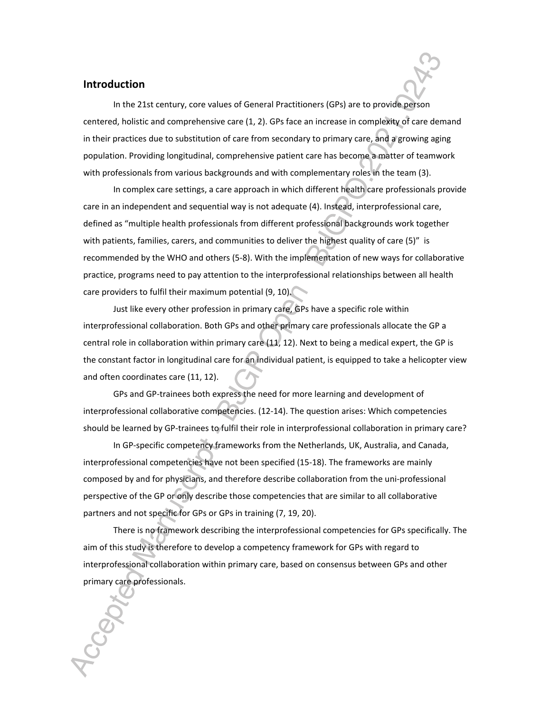## **Introduction**

In the 21st century, core values of General Practitioners (GPs) are to provide person centered, holistic and comprehensive care (1, 2). GPs face an increase in complexity of care demand in their practices due to substitution of care from secondary to primary care, and a growing aging population. Providing longitudinal, comprehensive patient care has become a matter of teamwork with professionals from various backgrounds and with complementary roles in the team (3).

In complex care settings, a care approach in which different health care professionals provide care in an independent and sequential way is not adequate (4). Instead, interprofessional care, defined as "multiple health professionals from different professional backgrounds work together with patients, families, carers, and communities to deliver the highest quality of care (5)" is recommended by the WHO and others (5-8). With the implementation of new ways for collaborative practice, programs need to pay attention to the interprofessional relationships between all health care providers to fulfil their maximum potential (9, 10).

Just like every other profession in primary care, GPs have a specific role within interprofessional collaboration. Both GPs and other primary care professionals allocate the GP a central role in collaboration within primary care (11, 12). Next to being a medical expert, the GP is the constant factor in longitudinal care for an individual patient, is equipped to take a helicopter view and often coordinates care (11, 12).

GPs and GP-trainees both express the need for more learning and development of interprofessional collaborative competencies. (12-14). The question arises: Which competencies should be learned by GP-trainees to fulfil their role in interprofessional collaboration in primary care?

In GP-specific competency frameworks from the Netherlands, UK, Australia, and Canada, interprofessional competencies have not been specified (15-18). The frameworks are mainly composed by and for physicians, and therefore describe collaboration from the uni-professional perspective of the GP or only describe those competencies that are similar to all collaborative partners and not specific for GPs or GPs in training (7, 19, 20).

There is no framework describing the interprofessional competencies for GPs specifically. The aim of this study is therefore to develop a competency framework for GPs with regard to interprofessional collaboration within primary care, based on consensus between GPs and other primary care professionals.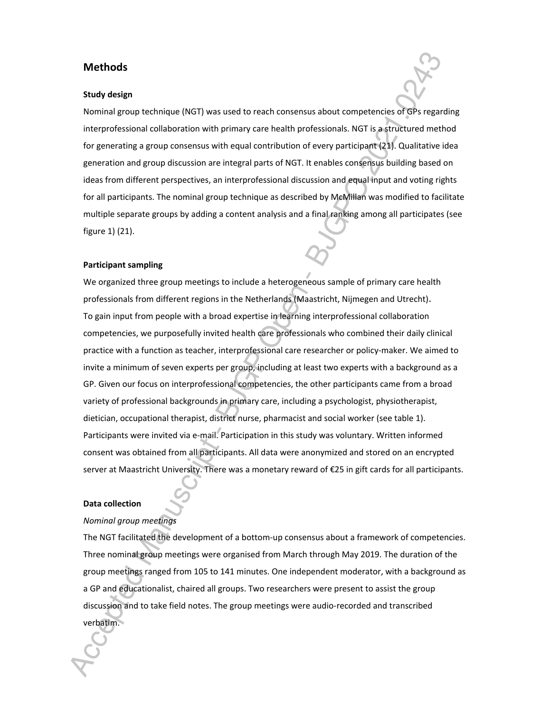## **Methods**

#### **Study design**

Nominal group technique (NGT) was used to reach consensus about competencies of GPs regarding interprofessional collaboration with primary care health professionals. NGT is a structured method for generating a group consensus with equal contribution of every participant (21). Qualitative idea generation and group discussion are integral parts of NGT. It enables consensus building based on ideas from different perspectives, an interprofessional discussion and equal input and voting rights for all participants. The nominal group technique as described by McMillan was modified to facilitate multiple separate groups by adding a content analysis and a final ranking among all participates (see figure 1) (21).

#### **Participant sampling**

We organized three group meetings to include a heterogeneous sample of primary care health professionals from different regions in the Netherlands (Maastricht, Nijmegen and Utrecht). To gain input from people with a broad expertise in learning interprofessional collaboration competencies, we purposefully invited health care professionals who combined their daily clinical practice with a function as teacher, interprofessional care researcher or policy-maker. We aimed to invite a minimum of seven experts per group, including at least two experts with a background as a GP. Given our focus on interprofessional competencies, the other participants came from a broad variety of professional backgrounds in primary care, including a psychologist, physiotherapist, dietician, occupational therapist, district nurse, pharmacist and social worker (see table 1). Participants were invited via e-mail. Participation in this study was voluntary. Written informed consent was obtained from all participants. All data were anonymized and stored on an encrypted server at Maastricht University. There was a monetary reward of €25 in gift cards for all participants.

#### **Data collection**

## *Nominal group meetings*

The NGT facilitated the development of a bottom-up consensus about a framework of competencies. Three nominal group meetings were organised from March through May 2019. The duration of the group meetings ranged from 105 to 141 minutes. One independent moderator, with a background as a GP and educationalist, chaired all groups. Two researchers were present to assist the group discussion and to take field notes. The group meetings were audio-recorded and transcribed verbatim.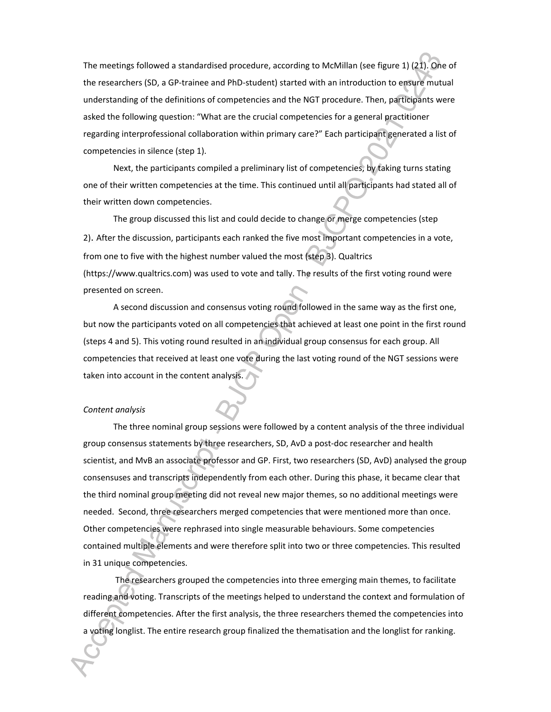The meetings followed a standardised procedure, according to McMillan (see figure 1) (21). One of the researchers (SD, a GP-trainee and PhD-student) started with an introduction to ensure mutual understanding of the definitions of competencies and the NGT procedure. Then, participants were asked the following question: "What are the crucial competencies for a general practitioner regarding interprofessional collaboration within primary care?" Each participant generated a list of competencies in silence (step 1).

Next, the participants compiled a preliminary list of competencies, by taking turns stating one of their written competencies at the time. This continued until all participants had stated all of their written down competencies.

The group discussed this list and could decide to change or merge competencies (step 2). After the discussion, participants each ranked the five most important competencies in a vote, from one to five with the highest number valued the most (step 3). Qualtrics (https://www.qualtrics.com) was used to vote and tally. The results of the first voting round were presented on screen.

A second discussion and consensus voting round followed in the same way as the first one, but now the participants voted on all competencies that achieved at least one point in the first round (steps 4 and 5). This voting round resulted in an individual group consensus for each group. All competencies that received at least one vote during the last voting round of the NGT sessions were taken into account in the content analysis.

#### *Content analysis*

The three nominal group sessions were followed by a content analysis of the three individual group consensus statements by three researchers, SD, AvD a post-doc researcher and health scientist, and MvB an associate professor and GP. First, two researchers (SD, AvD) analysed the group consensuses and transcripts independently from each other. During this phase, it became clear that the third nominal group meeting did not reveal new major themes, so no additional meetings were needed. Second, three researchers merged competencies that were mentioned more than once. Other competencies were rephrased into single measurable behaviours. Some competencies contained multiple elements and were therefore split into two or three competencies. This resulted in 31 unique competencies.

 The researchers grouped the competencies into three emerging main themes, to facilitate reading and voting. Transcripts of the meetings helped to understand the context and formulation of different competencies. After the first analysis, the three researchers themed the competencies into a voting longlist. The entire research group finalized the thematisation and the longlist for ranking.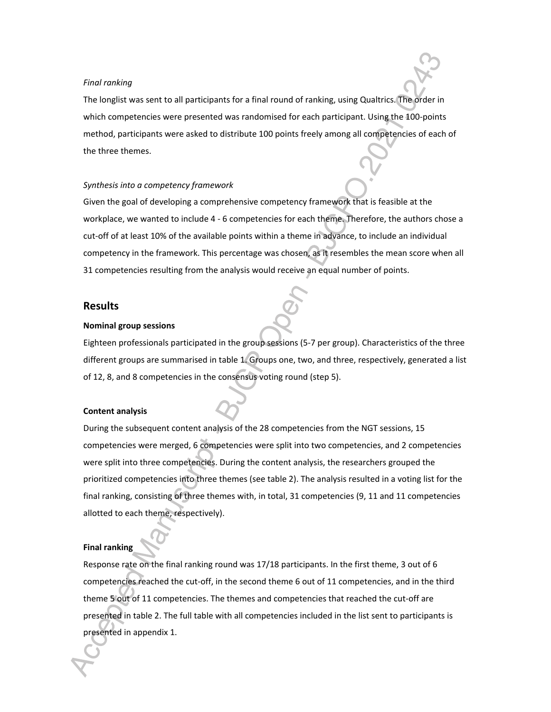#### *Final ranking*

The longlist was sent to all participants for a final round of ranking, using Qualtrics. The order in which competencies were presented was randomised for each participant. Using the 100-points method, participants were asked to distribute 100 points freely among all competencies of each of the three themes.

### *Synthesis into a competency framework*

Given the goal of developing a comprehensive competency framework that is feasible at the workplace, we wanted to include 4 - 6 competencies for each theme. Therefore, the authors chose a cut-off of at least 10% of the available points within a theme in advance, to include an individual competency in the framework. This percentage was chosen, as it resembles the mean score when all 31 competencies resulting from the analysis would receive an equal number of points.

## **Results**

## **Nominal group sessions**

Eighteen professionals participated in the group sessions (5-7 per group). Characteristics of the three different groups are summarised in table 1. Groups one, two, and three, respectively, generated a list of 12, 8, and 8 competencies in the consensus voting round (step 5).

#### **Content analysis**

During the subsequent content analysis of the 28 competencies from the NGT sessions, 15 competencies were merged, 6 competencies were split into two competencies, and 2 competencies were split into three competencies. During the content analysis, the researchers grouped the prioritized competencies into three themes (see table 2). The analysis resulted in a voting list for the final ranking, consisting of three themes with, in total, 31 competencies (9, 11 and 11 competencies allotted to each theme, respectively).

#### **Final ranking**

Response rate on the final ranking round was 17/18 participants. In the first theme, 3 out of 6 competencies reached the cut-off, in the second theme 6 out of 11 competencies, and in the third theme 5 out of 11 competencies. The themes and competencies that reached the cut-off are presented in table 2. The full table with all competencies included in the list sent to participants is presented in appendix 1.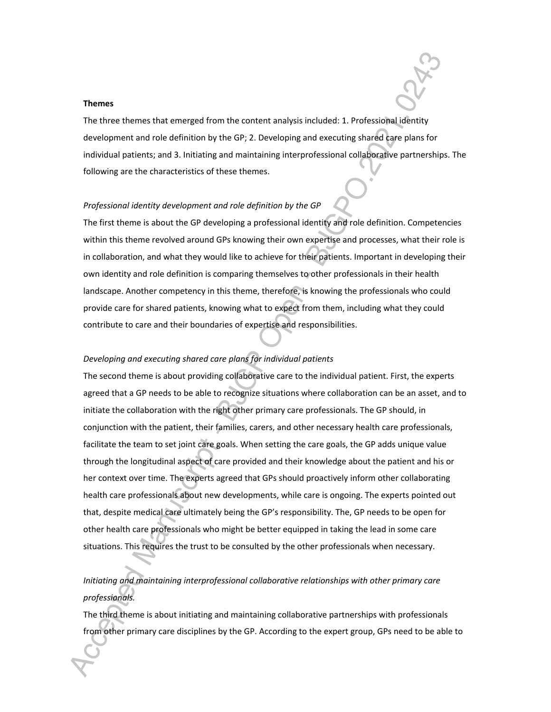#### **Themes**

The three themes that emerged from the content analysis included: 1. Professional identity development and role definition by the GP; 2. Developing and executing shared care plans for individual patients; and 3. Initiating and maintaining interprofessional collaborative partnerships. The following are the characteristics of these themes.

#### *Professional identity development and role definition by the GP*

The first theme is about the GP developing a professional identity and role definition. Competencies within this theme revolved around GPs knowing their own expertise and processes, what their role is in collaboration, and what they would like to achieve for their patients. Important in developing their own identity and role definition is comparing themselves to other professionals in their health landscape. Another competency in this theme, therefore, is knowing the professionals who could provide care for shared patients, knowing what to expect from them, including what they could contribute to care and their boundaries of expertise and responsibilities.

## *Developing and executing shared care plans for individual patients*

The second theme is about providing collaborative care to the individual patient. First, the experts agreed that a GP needs to be able to recognize situations where collaboration can be an asset, and to initiate the collaboration with the right other primary care professionals. The GP should, in conjunction with the patient, their families, carers, and other necessary health care professionals, facilitate the team to set joint care goals. When setting the care goals, the GP adds unique value through the longitudinal aspect of care provided and their knowledge about the patient and his or her context over time. The experts agreed that GPs should proactively inform other collaborating health care professionals about new developments, while care is ongoing. The experts pointed out that, despite medical care ultimately being the GP's responsibility. The, GP needs to be open for other health care professionals who might be better equipped in taking the lead in some care situations. This requires the trust to be consulted by the other professionals when necessary.

# *Initiating and maintaining interprofessional collaborative relationships with other primary care professionals.*

The third theme is about initiating and maintaining collaborative partnerships with professionals from other primary care disciplines by the GP. According to the expert group, GPs need to be able to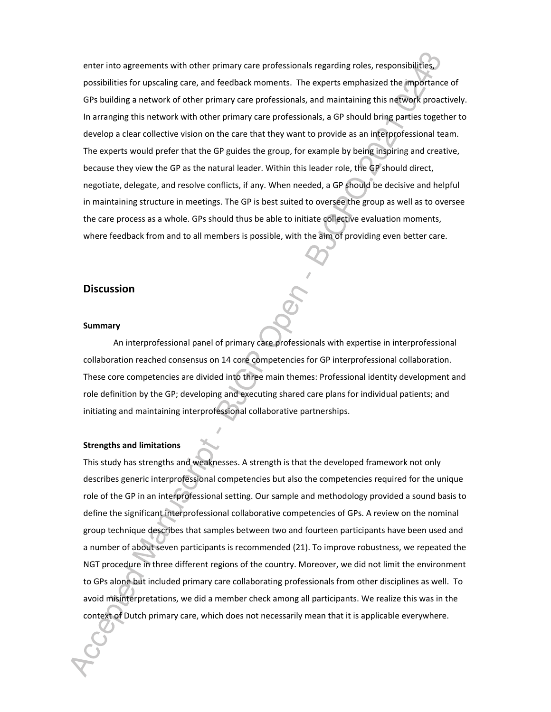enter into agreements with other primary care professionals regarding roles, responsibilities, possibilities for upscaling care, and feedback moments. The experts emphasized the importance of GPs building a network of other primary care professionals, and maintaining this network proactively. In arranging this network with other primary care professionals, a GP should bring parties together to develop a clear collective vision on the care that they want to provide as an interprofessional team. The experts would prefer that the GP guides the group, for example by being inspiring and creative, because they view the GP as the natural leader. Within this leader role, the GP should direct, negotiate, delegate, and resolve conflicts, if any. When needed, a GP should be decisive and helpful in maintaining structure in meetings. The GP is best suited to oversee the group as well as to oversee the care process as a whole. GPs should thus be able to initiate collective evaluation moments, where feedback from and to all members is possible, with the aim of providing even better care.

## **Discussion**

#### **Summary**

An interprofessional panel of primary care professionals with expertise in interprofessional collaboration reached consensus on 14 core competencies for GP interprofessional collaboration. These core competencies are divided into three main themes: Professional identity development and role definition by the GP; developing and executing shared care plans for individual patients; and initiating and maintaining interprofessional collaborative partnerships.

## **Strengths and limitations**

This study has strengths and weaknesses. A strength is that the developed framework not only describes generic interprofessional competencies but also the competencies required for the unique role of the GP in an interprofessional setting. Our sample and methodology provided a sound basis to define the significant interprofessional collaborative competencies of GPs. A review on the nominal group technique describes that samples between two and fourteen participants have been used and a number of about seven participants is recommended (21). To improve robustness, we repeated the NGT procedure in three different regions of the country. Moreover, we did not limit the environment to GPs alone but included primary care collaborating professionals from other disciplines as well. To avoid misinterpretations, we did a member check among all participants. We realize this was in the context of Dutch primary care, which does not necessarily mean that it is applicable everywhere.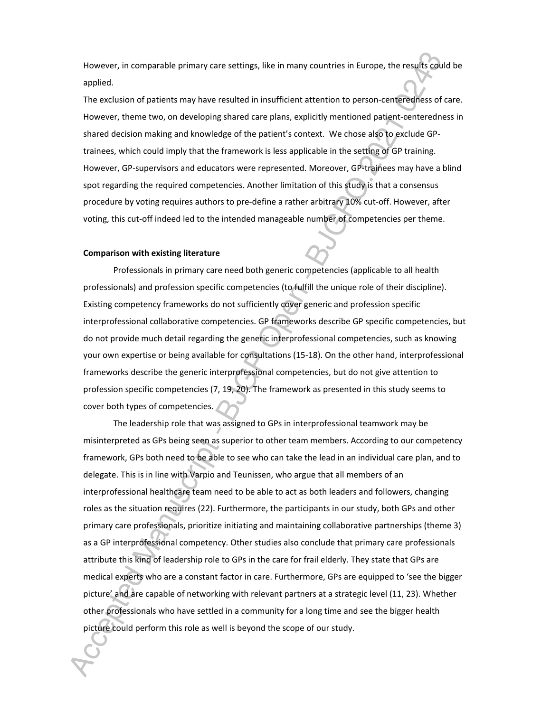However, in comparable primary care settings, like in many countries in Europe, the results could be applied.

The exclusion of patients may have resulted in insufficient attention to person-centeredness of care. However, theme two, on developing shared care plans, explicitly mentioned patient-centeredness in shared decision making and knowledge of the patient's context. We chose also to exclude GPtrainees, which could imply that the framework is less applicable in the setting of GP training. However, GP-supervisors and educators were represented. Moreover, GP-trainees may have a blind spot regarding the required competencies. Another limitation of this study is that a consensus procedure by voting requires authors to pre-define a rather arbitrary 10% cut-off. However, after voting, this cut-off indeed led to the intended manageable number of competencies per theme.

#### **Comparison with existing literature**

Professionals in primary care need both generic competencies (applicable to all health professionals) and profession specific competencies (to fulfill the unique role of their discipline). Existing competency frameworks do not sufficiently cover generic and profession specific interprofessional collaborative competencies. GP frameworks describe GP specific competencies, but do not provide much detail regarding the generic interprofessional competencies, such as knowing your own expertise or being available for consultations (15-18). On the other hand, interprofessional frameworks describe the generic interprofessional competencies, but do not give attention to profession specific competencies (7, 19, 20). The framework as presented in this study seems to cover both types of competencies.

The leadership role that was assigned to GPs in interprofessional teamwork may be misinterpreted as GPs being seen as superior to other team members. According to our competency framework, GPs both need to be able to see who can take the lead in an individual care plan, and to delegate. This is in line with Varpio and Teunissen, who argue that all members of an interprofessional healthcare team need to be able to act as both leaders and followers, changing roles as the situation requires (22). Furthermore, the participants in our study, both GPs and other primary care professionals, prioritize initiating and maintaining collaborative partnerships (theme 3) as a GP interprofessional competency. Other studies also conclude that primary care professionals attribute this kind of leadership role to GPs in the care for frail elderly. They state that GPs are medical experts who are a constant factor in care. Furthermore, GPs are equipped to 'see the bigger picture' and are capable of networking with relevant partners at a strategic level (11, 23). Whether other professionals who have settled in a community for a long time and see the bigger health picture could perform this role as well is beyond the scope of our study.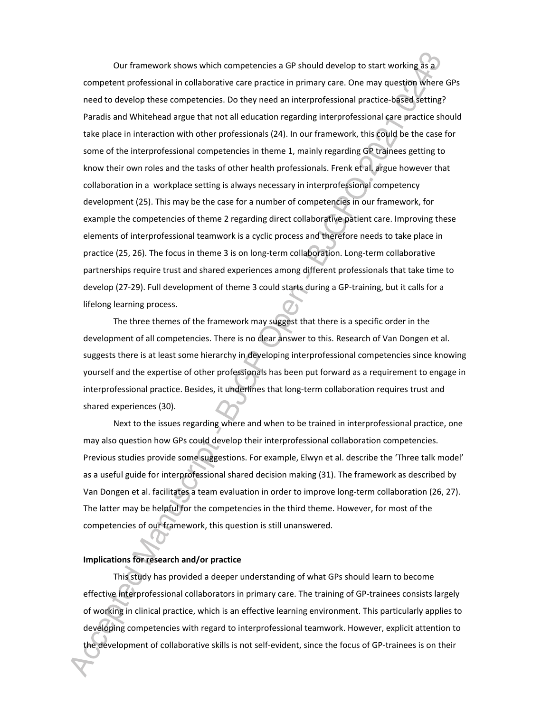Our framework shows which competencies a GP should develop to start working as a competent professional in collaborative care practice in primary care. One may question where GPs need to develop these competencies. Do they need an interprofessional practice-based setting? Paradis and Whitehead argue that not all education regarding interprofessional care practice should take place in interaction with other professionals (24). In our framework, this could be the case for some of the interprofessional competencies in theme 1, mainly regarding GP trainees getting to know their own roles and the tasks of other health professionals. Frenk et al. argue however that collaboration in a workplace setting is always necessary in interprofessional competency development (25). This may be the case for a number of competencies in our framework, for example the competencies of theme 2 regarding direct collaborative patient care. Improving these elements of interprofessional teamwork is a cyclic process and therefore needs to take place in practice (25, 26). The focus in theme 3 is on long-term collaboration. Long-term collaborative partnerships require trust and shared experiences among different professionals that take time to develop (27-29). Full development of theme 3 could starts during a GP-training, but it calls for a lifelong learning process.

The three themes of the framework may suggest that there is a specific order in the development of all competencies. There is no clear answer to this. Research of Van Dongen et al. suggests there is at least some hierarchy in developing interprofessional competencies since knowing yourself and the expertise of other professionals has been put forward as a requirement to engage in interprofessional practice. Besides, it underlines that long-term collaboration requires trust and shared experiences (30).

Next to the issues regarding where and when to be trained in interprofessional practice, one may also question how GPs could develop their interprofessional collaboration competencies. Previous studies provide some suggestions. For example, Elwyn et al. describe the 'Three talk model' as a useful guide for interprofessional shared decision making (31). The framework as described by Van Dongen et al. facilitates a team evaluation in order to improve long-term collaboration (26, 27). The latter may be helpful for the competencies in the third theme. However, for most of the competencies of our framework, this question is still unanswered.

## **Implications for research and/or practice**

This study has provided a deeper understanding of what GPs should learn to become effective interprofessional collaborators in primary care. The training of GP-trainees consists largely of working in clinical practice, which is an effective learning environment. This particularly applies to developing competencies with regard to interprofessional teamwork. However, explicit attention to the development of collaborative skills is not self-evident, since the focus of GP-trainees is on their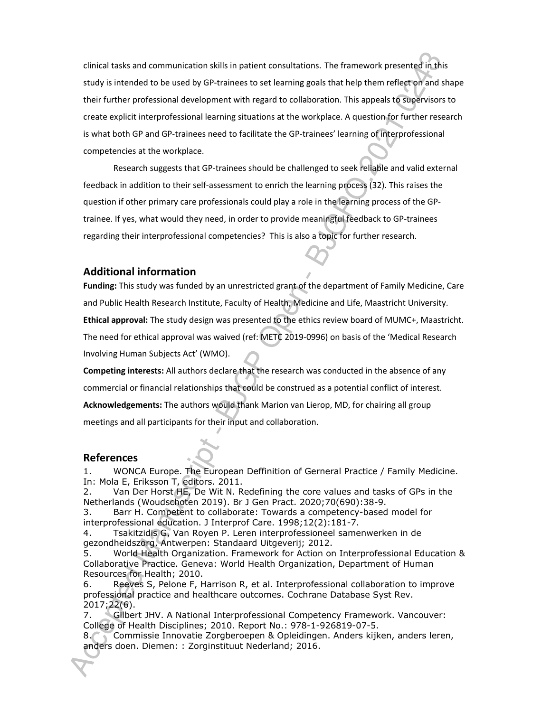clinical tasks and communication skills in patient consultations. The framework presented in this study is intended to be used by GP-trainees to set learning goals that help them reflect on and shape their further professional development with regard to collaboration. This appeals to supervisors to create explicit interprofessional learning situations at the workplace. A question for further research is what both GP and GP-trainees need to facilitate the GP-trainees' learning of interprofessional competencies at the workplace.

Research suggests that GP-trainees should be challenged to seek reliable and valid external feedback in addition to their self-assessment to enrich the learning process (32). This raises the question if other primary care professionals could play a role in the learning process of the GPtrainee. If yes, what would they need, in order to provide meaningful feedback to GP-trainees regarding their interprofessional competencies? This is also a topic for further research.

## **Additional information**

**Funding:** This study was funded by an unrestricted grant of the department of Family Medicine, Care and Public Health Research Institute, Faculty of Health, Medicine and Life, Maastricht University. **Ethical approval:** The study design was presented to the ethics review board of MUMC+, Maastricht. The need for ethical approval was waived (ref: METC 2019-0996) on basis of the 'Medical Research Involving Human Subjects Act' (WMO).

**Competing interests:** All authors declare that the research was conducted in the absence of any commercial or financial relationships that could be construed as a potential conflict of interest. **Acknowledgements:** The authors would thank Marion van Lierop, MD, for chairing all group meetings and all participants for their input and collaboration.

## **References**

1. WONCA Europe. The European Deffinition of Gerneral Practice / Family Medicine. In: Mola E, Eriksson T, editors. 2011.

2. Van Der Horst HE, De Wit N. Redefining the core values and tasks of GPs in the Netherlands (Woudschoten 2019). Br J Gen Pract. 2020;70(690):38-9.

3. Barr H. Competent to collaborate: Towards a competency-based model for interprofessional education. J Interprof Care. 1998;12(2):181-7.

4. Tsakitzidis G, Van Royen P. Leren interprofessioneel samenwerken in de gezondheidszorg. Antwerpen: Standaard Uitgeverij; 2012.

5. World Health Organization. Framework for Action on Interprofessional Education & Collaborative Practice. Geneva: World Health Organization, Department of Human Resources for Health; 2010.

6. Reeves S, Pelone F, Harrison R, et al. Interprofessional collaboration to improve professional practice and healthcare outcomes. Cochrane Database Syst Rev. 2017;22(6).

7. Gilbert JHV. A National Interprofessional Competency Framework. Vancouver: College of Health Disciplines; 2010. Report No.: 978-1-926819-07-5.

8. Commissie Innovatie Zorgberoepen & Opleidingen. Anders kijken, anders leren, anders doen. Diemen: : Zorginstituut Nederland; 2016.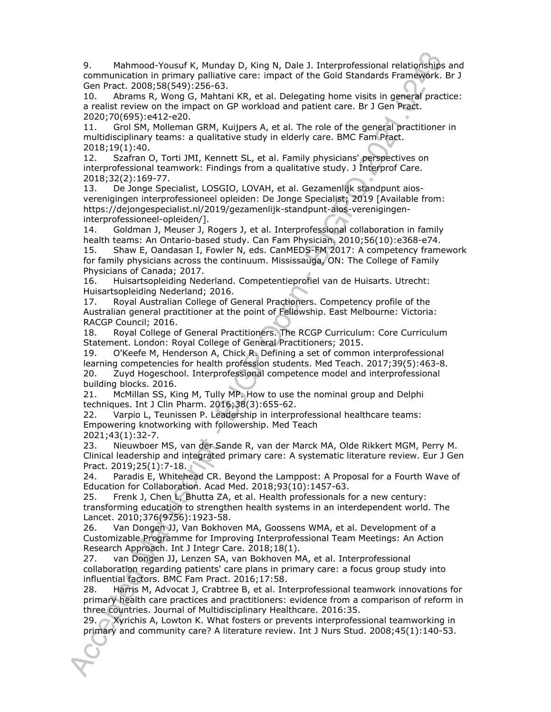9. Mahmood-Yousuf K, Munday D, King N, Dale J. Interprofessional relationships and communication in primary palliative care: impact of the Gold Standards Framework. Br J Gen Pract. 2008;58(549):256-63.

10. Abrams R, Wong G, Mahtani KR, et al. Delegating home visits in general practice: a realist review on the impact on GP workload and patient care. Br J Gen Pract. 2020;70(695):e412-e20.

11. Grol SM, Molleman GRM, Kuijpers A, et al. The role of the general practitioner in multidisciplinary teams: a qualitative study in elderly care. BMC Fam Pract. 2018;19(1):40.

12. Szafran O, Torti JMI, Kennett SL, et al. Family physicians' perspectives on interprofessional teamwork: Findings from a qualitative study. J Interprof Care. 2018;32(2):169-77.

13. De Jonge Specialist, LOSGIO, LOVAH, et al. Gezamenlijk standpunt aiosverenigingen interprofessioneel opleiden: De Jonge Specialist; 2019 [Available from: https://dejongespecialist.nl/2019/gezamenlijk-standpunt-aios-verenigingeninterprofessioneel-opleiden/].

14. Goldman J, Meuser J, Rogers J, et al. Interprofessional collaboration in family health teams: An Ontario-based study. Can Fam Physician. 2010;56(10):e368-e74.

15. Shaw E, Oandasan I, Fowler N, eds. CanMEDS-FM 2017: A competency framework for family physicians across the continuum. Mississauga, ON: The College of Family Physicians of Canada; 2017.

16. Huisartsopleiding Nederland. Competentieprofiel van de Huisarts. Utrecht: Huisartsopleiding Nederland; 2016.

17. Royal Australian College of General Practioners. Competency profile of the Australian general practitioner at the point of Fellowship. East Melbourne: Victoria: RACGP Council; 2016.

18. Royal College of General Practitioners. The RCGP Curriculum: Core Curriculum Statement. London: Royal College of General Practitioners; 2015.

19. O'Keefe M, Henderson A, Chick R. Defining a set of common interprofessional learning competencies for health profession students. Med Teach. 2017;39(5):463-8. 20. Zuyd Hogeschool. Interprofessional competence model and interprofessional building blocks. 2016.

21. McMillan SS, King M, Tully MP. How to use the nominal group and Delphi techniques. Int J Clin Pharm. 2016;38(3):655-62.

22. Varpio L, Teunissen P. Leadership in interprofessional healthcare teams: Empowering knotworking with followership. Med Teach 2021;43(1):32-7.

23. Nieuwboer MS, van der Sande R, van der Marck MA, Olde Rikkert MGM, Perry M. Clinical leadership and integrated primary care: A systematic literature review. Eur J Gen Pract. 2019;25(1):7-18.

24. Paradis E, Whitehead CR. Beyond the Lamppost: A Proposal for a Fourth Wave of Education for Collaboration. Acad Med. 2018;93(10):1457-63.

25. Frenk J, Chen L, Bhutta ZA, et al. Health professionals for a new century: transforming education to strengthen health systems in an interdependent world. The Lancet. 2010;376(9756):1923-58.

26. Van Dongen JJ, Van Bokhoven MA, Goossens WMA, et al. Development of a Customizable Programme for Improving Interprofessional Team Meetings: An Action Research Approach. Int J Integr Care. 2018;18(1).

27. van Dongen JJ, Lenzen SA, van Bokhoven MA, et al. Interprofessional collaboration regarding patients' care plans in primary care: a focus group study into influential factors. BMC Fam Pract. 2016;17:58.

28. Harris M, Advocat J, Crabtree B, et al. Interprofessional teamwork innovations for primary health care practices and practitioners: evidence from a comparison of reform in three countries. Journal of Multidisciplinary Healthcare. 2016:35.

29. Xyrichis A, Lowton K. What fosters or prevents interprofessional teamworking in primary and community care? A literature review. Int J Nurs Stud. 2008;45(1):140-53.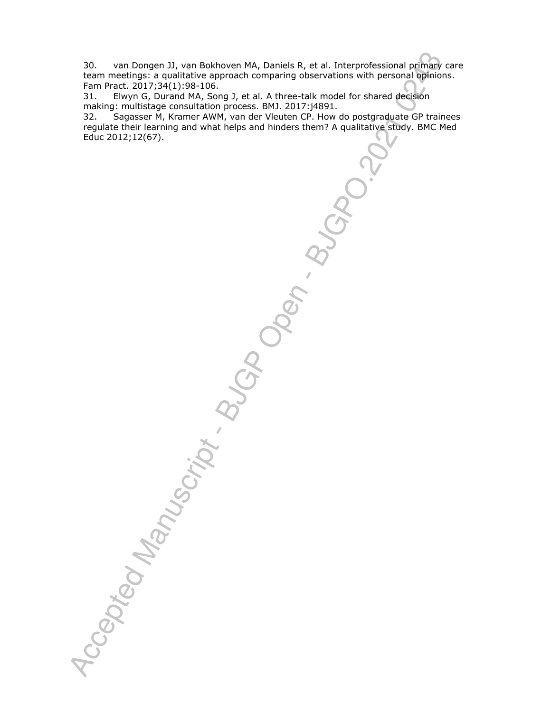30. van Dongen JJ, van Bokhoven MA, Daniels R, et al. Interprofessional primary care team meetings: a qualitative approach comparing observations with personal opinions. Fam Pract. 2017;34(1):98-106.

31. Elwyn G, Durand MA, Song J, et al. A three-talk model for shared decision making: multistage consultation process. BMJ. 2017:j4891.

32. Sagasser M, Kramer AWM, van der Vleuten CP. How do postgraduate GP trainees regulate their learning and what helps and hinders them? A qualitative study. BMC Med Educ 2012;12(67).

Accepted Manuscript & Blogbert & Blogbert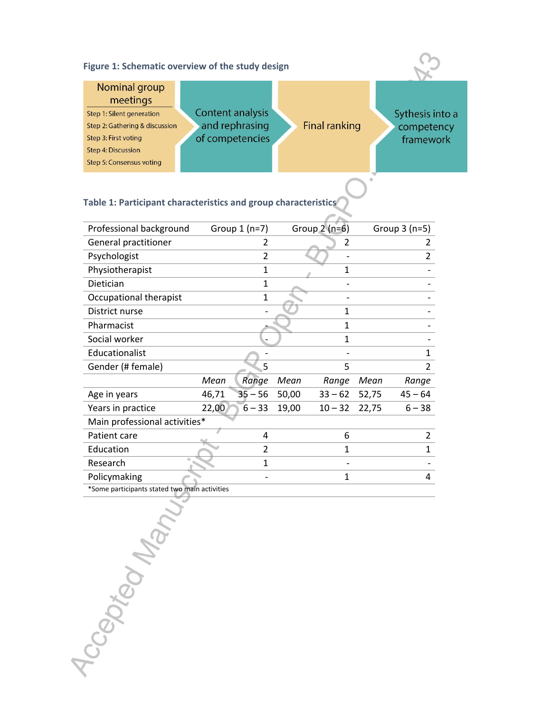| Figure 1: Schematic overview of the study design                                    |                                                       |                      |                                            |
|-------------------------------------------------------------------------------------|-------------------------------------------------------|----------------------|--------------------------------------------|
| Nominal group<br>meetings                                                           |                                                       |                      |                                            |
| Step 1: Silent generation<br>Step 2: Gathering & discussion<br>Step 3: First voting | Content analysis<br>and rephrasing<br>of competencies | <b>Final ranking</b> | Sythesis into a<br>competency<br>framework |
| <b>Step 4: Discussion</b><br>Step 5: Consensus voting                               |                                                       |                      |                                            |

 $\dot{q}$ 

# **Table 1: Participant characteristics and group characteristics**

| Professional background                       |       | Group $1(n=7)$ |       | Group $2$ (n=6) |       | Group $3$ (n=5) |  |
|-----------------------------------------------|-------|----------------|-------|-----------------|-------|-----------------|--|
| General practitioner                          |       | 2              |       | 2               |       | 2               |  |
| Psychologist                                  |       | $\overline{2}$ |       |                 |       | $\overline{2}$  |  |
| Physiotherapist                               |       | 1              |       | 1               |       |                 |  |
| Dietician                                     |       | 1              |       |                 |       |                 |  |
| Occupational therapist                        |       | 1              |       |                 |       |                 |  |
| District nurse                                |       |                |       | 1               |       |                 |  |
| Pharmacist                                    |       |                |       | 1               |       |                 |  |
| Social worker                                 |       |                |       | 1               |       |                 |  |
| Educationalist                                |       |                |       |                 |       | 1               |  |
| Gender (# female)                             |       | 5              |       | 5               |       | $\overline{2}$  |  |
|                                               | Mean  | Range          | Mean  | Range           | Mean  | Range           |  |
| Age in years                                  | 46,71 | $35 - 56$      | 50,00 | $33 - 62$       | 52,75 | $45 - 64$       |  |
| Years in practice                             | 22,00 | $6 - 33$       | 19,00 | $10 - 32$       | 22,75 | $6 - 38$        |  |
| Main professional activities*                 |       |                |       |                 |       |                 |  |
| Patient care                                  |       | 4              |       | 6               |       | 2               |  |
| Education                                     |       | 2              |       | 1               |       | 1               |  |
| Research                                      |       | 1              |       |                 |       |                 |  |
| Policymaking                                  |       |                |       | 1               |       | 4               |  |
| *Some participants stated two main activities |       |                |       |                 |       |                 |  |